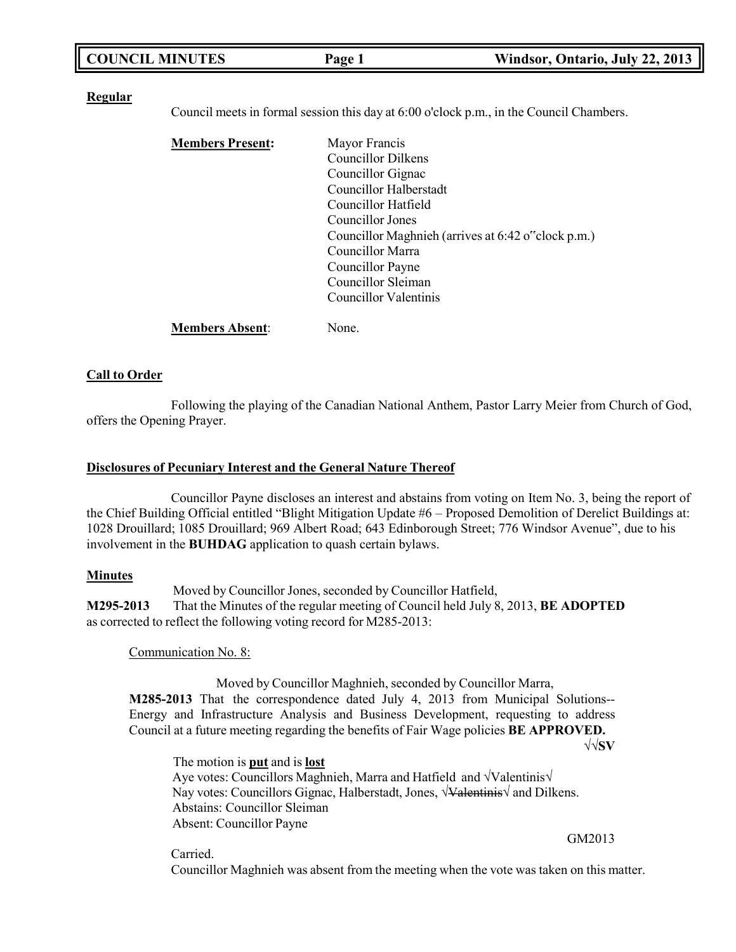| <b>COUNCIL MINUTES</b> | Page 1 | Windsor, Ontario, July 22, 2013 |
|------------------------|--------|---------------------------------|
|                        |        |                                 |

#### **Regular**

Council meets in formal session this day at 6:00 o'clock p.m., in the Council Chambers.

| <b>Members Present:</b> | Mayor Francis                                      |
|-------------------------|----------------------------------------------------|
|                         | <b>Councillor Dilkens</b>                          |
|                         | Councillor Gignac                                  |
|                         | Councillor Halberstadt                             |
|                         | Councillor Hatfield                                |
|                         | Councillor Jones                                   |
|                         | Councillor Maghnieh (arrives at 6:42 o"clock p.m.) |
|                         | Councillor Marra                                   |
|                         | Councillor Payne                                   |
|                         | Councillor Sleiman                                 |
|                         | Councillor Valentinis                              |
|                         |                                                    |

**Members Absent**: None.

#### **Call to Order**

Following the playing of the Canadian National Anthem, Pastor Larry Meier from Church of God, offers the Opening Prayer.

#### **Disclosures of Pecuniary Interest and the General Nature Thereof**

Councillor Payne discloses an interest and abstains from voting on Item No. 3, being the report of the Chief Building Official entitled "Blight Mitigation Update #6 – Proposed Demolition of Derelict Buildings at: 1028 Drouillard; 1085 Drouillard; 969 Albert Road; 643 Edinborough Street; 776 Windsor Avenue", due to his involvement in the **BUHDAG** application to quash certain bylaws.

#### **Minutes**

Moved by Councillor Jones, seconded by Councillor Hatfield, **M295-2013** That the Minutes of the regular meeting of Council held July 8, 2013, **BE ADOPTED** as corrected to reflect the following voting record for M285-2013:

Communication No. 8:

Moved by Councillor Maghnieh, seconded by Councillor Marra, **M285-2013** That the correspondence dated July 4, 2013 from Municipal Solutions--Energy and Infrastructure Analysis and Business Development, requesting to address Council at a future meeting regarding the benefits of Fair Wage policies **BE APPROVED.**

√√**SV**

The motion is **put** and is **lost** Aye votes: Councillors Maghnieh, Marra and Hatfield and √Valentinis√ Nay votes: Councillors Gignac, Halberstadt, Jones, √<del>Valentinis</del>√ and Dilkens. Abstains: Councillor Sleiman Absent: Councillor Payne GM2013

Carried.

Councillor Maghnieh was absent from the meeting when the vote was taken on this matter.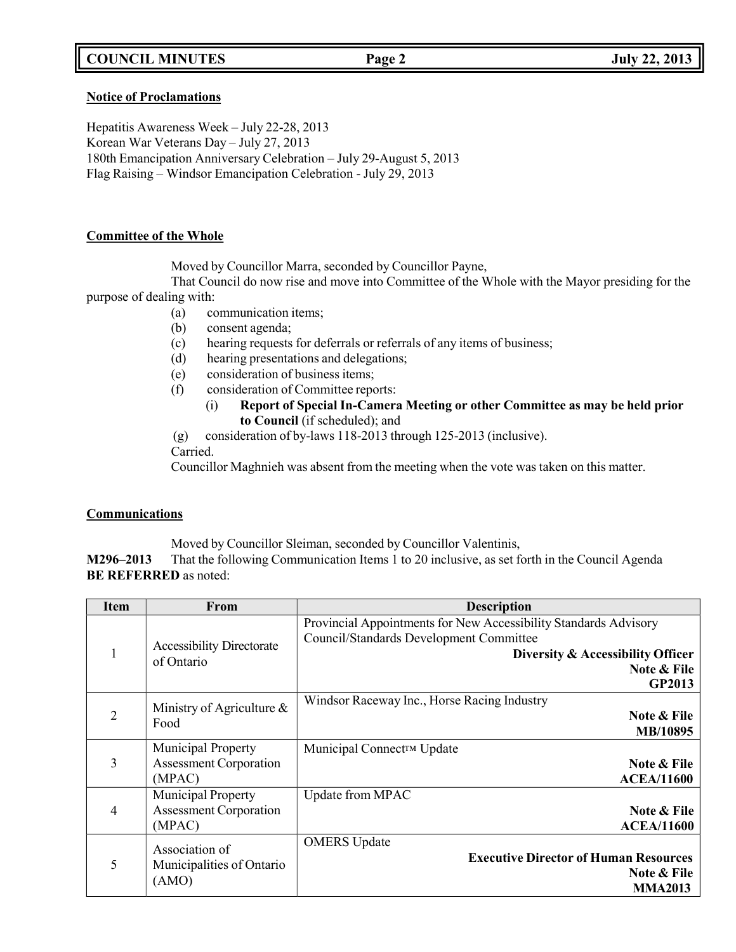# **COUNCIL MINUTES Page 2 July 22, 2013**

#### **Notice of Proclamations**

Hepatitis Awareness Week – July 22-28, 2013 Korean War Veterans Day – July 27, 2013 180th Emancipation Anniversary Celebration – July 29-August 5, 2013 Flag Raising – Windsor Emancipation Celebration - July 29, 2013

#### **Committee of the Whole**

Moved by Councillor Marra, seconded by Councillor Payne,

That Council do now rise and move into Committee of the Whole with the Mayor presiding for the purpose of dealing with:

(a) communication items;

- (b) consent agenda;
- (c) hearing requests for deferrals or referrals of any items of business;
- (d) hearing presentations and delegations;
- (e) consideration of business items;
- (f) consideration of Committee reports:
	- (i) **Report of Special In-Camera Meeting or other Committee as may be held prior to Council** (if scheduled); and
- (g) consideration of by-laws 118-2013 through 125-2013 (inclusive).

Carried.

Councillor Maghnieh was absent from the meeting when the vote was taken on this matter.

#### **Communications**

Moved by Councillor Sleiman, seconded by Councillor Valentinis,

**M296–2013** That the following Communication Items 1 to 20 inclusive, as set forth in the Council Agenda **BE REFERRED** as noted:

| <b>Item</b>            | From                                           | <b>Description</b>                                                                                          |
|------------------------|------------------------------------------------|-------------------------------------------------------------------------------------------------------------|
|                        |                                                | Provincial Appointments for New Accessibility Standards Advisory<br>Council/Standards Development Committee |
| 1                      | <b>Accessibility Directorate</b><br>of Ontario | Diversity & Accessibility Officer<br>Note & File                                                            |
|                        |                                                | GP2013                                                                                                      |
|                        | Ministry of Agriculture $\&$                   | Windsor Raceway Inc., Horse Racing Industry                                                                 |
| $\overline{2}$<br>Food |                                                | Note & File<br>MB/10895                                                                                     |
|                        | <b>Municipal Property</b>                      | Municipal Connect™ Update                                                                                   |
| 3                      | <b>Assessment Corporation</b>                  | Note & File                                                                                                 |
|                        | (MPAC)                                         | <b>ACEA/11600</b>                                                                                           |
|                        | Municipal Property                             | Update from MPAC                                                                                            |
| $\overline{4}$         | <b>Assessment Corporation</b>                  | Note & File                                                                                                 |
|                        | (MPAC)                                         | <b>ACEA/11600</b>                                                                                           |
|                        | Association of                                 | <b>OMERS</b> Update                                                                                         |
| 5                      | Municipalities of Ontario<br>(AMO)             | <b>Executive Director of Human Resources</b>                                                                |
|                        |                                                | Note & File                                                                                                 |
|                        |                                                | <b>MMA2013</b>                                                                                              |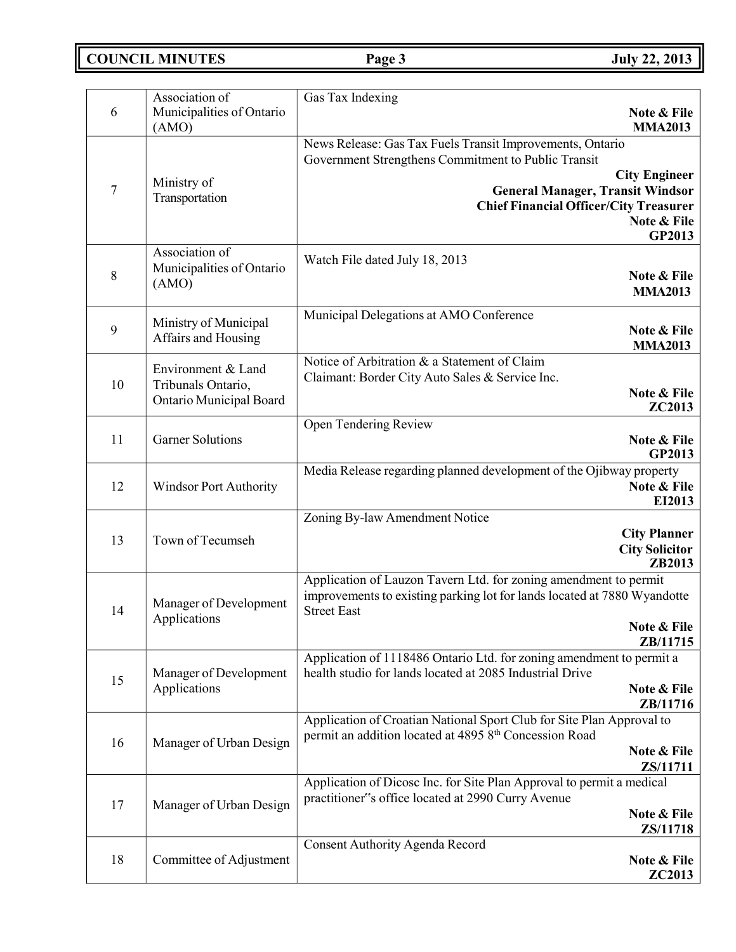**COUNCIL MINUTES Page 3 July 22, 2013**

| 6                | Association of<br>Municipalities of Ontario<br>(AMO)                | Gas Tax Indexing<br>Note & File<br><b>MMA2013</b>                                                                                                                                                                                                             |
|------------------|---------------------------------------------------------------------|---------------------------------------------------------------------------------------------------------------------------------------------------------------------------------------------------------------------------------------------------------------|
| $\boldsymbol{7}$ | Ministry of<br>Transportation                                       | News Release: Gas Tax Fuels Transit Improvements, Ontario<br>Government Strengthens Commitment to Public Transit<br><b>City Engineer</b><br><b>General Manager, Transit Windsor</b><br><b>Chief Financial Officer/City Treasurer</b><br>Note & File<br>GP2013 |
| 8                | Association of<br>Municipalities of Ontario<br>(AMO)                | Watch File dated July 18, 2013<br>Note & File<br><b>MMA2013</b>                                                                                                                                                                                               |
| 9                | Ministry of Municipal<br>Affairs and Housing                        | Municipal Delegations at AMO Conference<br>Note & File<br><b>MMA2013</b>                                                                                                                                                                                      |
| 10               | Environment & Land<br>Tribunals Ontario,<br>Ontario Municipal Board | Notice of Arbitration & a Statement of Claim<br>Claimant: Border City Auto Sales & Service Inc.<br>Note & File<br><b>ZC2013</b>                                                                                                                               |
| 11               | <b>Garner Solutions</b>                                             | Open Tendering Review<br>Note & File<br><b>GP2013</b>                                                                                                                                                                                                         |
| 12               | <b>Windsor Port Authority</b>                                       | Media Release regarding planned development of the Ojibway property<br>Note & File<br>EI2013                                                                                                                                                                  |
| 13               | Town of Tecumseh                                                    | Zoning By-law Amendment Notice<br><b>City Planner</b><br><b>City Solicitor</b><br>ZB2013                                                                                                                                                                      |
| 14               | Manager of Development<br>Applications                              | Application of Lauzon Tavern Ltd. for zoning amendment to permit<br>improvements to existing parking lot for lands located at 7880 Wyandotte<br><b>Street East</b><br>Note & File<br>ZB/11715                                                                 |
| 15               | Manager of Development<br>Applications                              | Application of 1118486 Ontario Ltd. for zoning amendment to permit a<br>health studio for lands located at 2085 Industrial Drive<br>Note & File<br>ZB/11716                                                                                                   |
| 16               | Manager of Urban Design                                             | Application of Croatian National Sport Club for Site Plan Approval to<br>permit an addition located at 4895 8th Concession Road<br>Note & File<br>ZS/11711                                                                                                    |
| 17               | Manager of Urban Design                                             | Application of Dicosc Inc. for Site Plan Approval to permit a medical<br>practitioner"s office located at 2990 Curry Avenue<br>Note & File<br>ZS/11718                                                                                                        |
| 18               | Committee of Adjustment                                             | Consent Authority Agenda Record<br>Note & File<br><b>ZC2013</b>                                                                                                                                                                                               |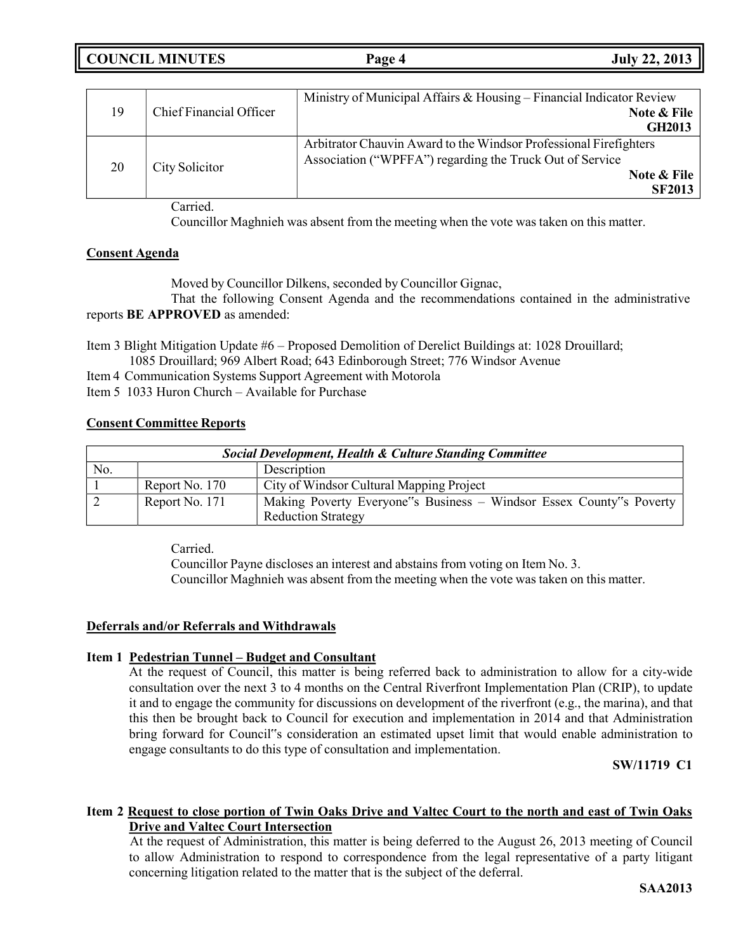| <b>COUNCIL MINUTES</b> | <b>July 22, 2013</b><br>Page 4 |
|------------------------|--------------------------------|
|------------------------|--------------------------------|

|    |                         | Ministry of Municipal Affairs & Housing – Financial Indicator Review |
|----|-------------------------|----------------------------------------------------------------------|
| 19 | Chief Financial Officer | Note & File                                                          |
|    | <b>GH2013</b>           |                                                                      |
|    |                         | Arbitrator Chauvin Award to the Windsor Professional Firefighters    |
| 20 | City Solicitor          | Association ("WPFFA") regarding the Truck Out of Service             |
|    |                         | Note & File                                                          |
|    |                         | <b>SF2013</b>                                                        |

Carried.

Councillor Maghnieh was absent from the meeting when the vote was taken on this matter.

### **Consent Agenda**

Moved by Councillor Dilkens, seconded by Councillor Gignac,

That the following Consent Agenda and the recommendations contained in the administrative reports **BE APPROVED** as amended:

Item 3 Blight Mitigation Update #6 – Proposed Demolition of Derelict Buildings at: 1028 Drouillard; 1085 Drouillard; 969 Albert Road; 643 Edinborough Street; 776 Windsor Avenue

- Item 4 Communication Systems Support Agreement with Motorola
- Item 5 1033 Huron Church Available for Purchase

### **Consent Committee Reports**

| Social Development, Health & Culture Standing Committee |                |                                                                                                  |
|---------------------------------------------------------|----------------|--------------------------------------------------------------------------------------------------|
| No.                                                     |                | Description                                                                                      |
|                                                         | Report No. 170 | City of Windsor Cultural Mapping Project                                                         |
|                                                         | Report No. 171 | Making Poverty Everyone"s Business – Windsor Essex County"s Poverty<br><b>Reduction Strategy</b> |

Carried.

Councillor Payne discloses an interest and abstains from voting on Item No. 3. Councillor Maghnieh was absent from the meeting when the vote was taken on this matter.

#### **Deferrals and/or Referrals and Withdrawals**

#### **Item 1 Pedestrian Tunnel – Budget and Consultant**

At the request of Council, this matter is being referred back to administration to allow for a city-wide consultation over the next 3 to 4 months on the Central Riverfront Implementation Plan (CRIP), to update it and to engage the community for discussions on development of the riverfront (e.g., the marina), and that this then be brought back to Council for execution and implementation in 2014 and that Administration bring forward for Council"s consideration an estimated upset limit that would enable administration to engage consultants to do this type of consultation and implementation.

#### **SW/11719 C1**

### **Item 2 Request to close portion of Twin Oaks Drive and Valtec Court to the north and east of Twin Oaks Drive and Valtec Court Intersection**

At the request of Administration, this matter is being deferred to the August 26, 2013 meeting of Council to allow Administration to respond to correspondence from the legal representative of a party litigant concerning litigation related to the matter that is the subject of the deferral.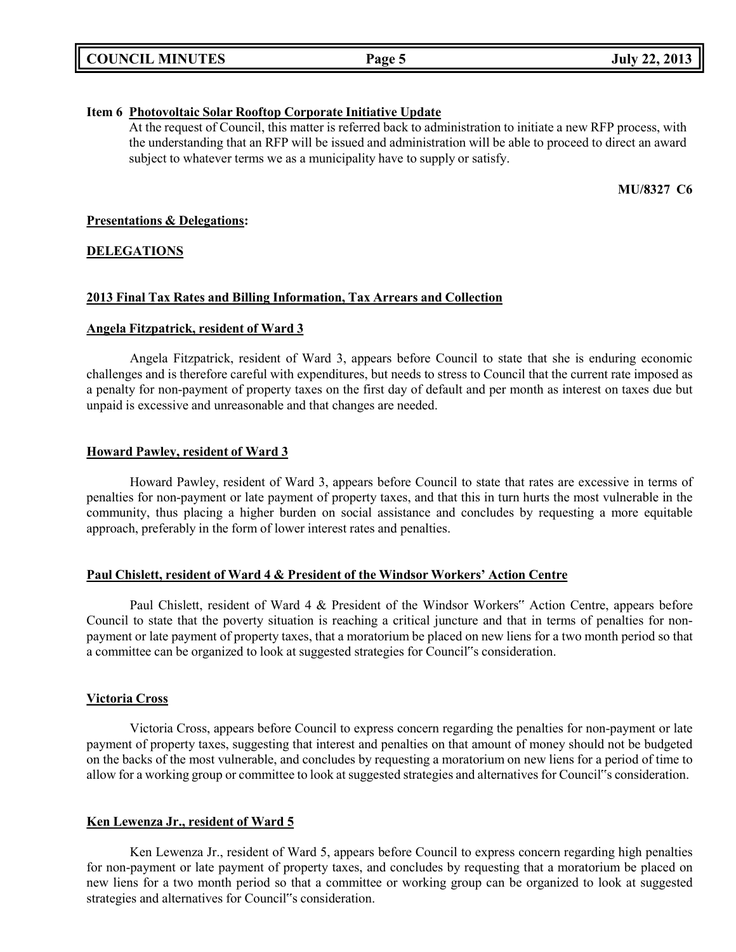|  | <b>COUNCIL MINUTES</b> |
|--|------------------------|
|--|------------------------|

#### **Item 6 Photovoltaic Solar Rooftop Corporate Initiative Update**

At the request of Council, this matter is referred back to administration to initiate a new RFP process, with the understanding that an RFP will be issued and administration will be able to proceed to direct an award subject to whatever terms we as a municipality have to supply or satisfy.

**MU/8327 C6**

#### **Presentations & Delegations:**

#### **DELEGATIONS**

#### **2013 Final Tax Rates and Billing Information, Tax Arrears and Collection**

#### **Angela Fitzpatrick, resident of Ward 3**

Angela Fitzpatrick, resident of Ward 3, appears before Council to state that she is enduring economic challenges and is therefore careful with expenditures, but needs to stress to Council that the current rate imposed as a penalty for non-payment of property taxes on the first day of default and per month as interest on taxes due but unpaid is excessive and unreasonable and that changes are needed.

#### **Howard Pawley, resident of Ward 3**

Howard Pawley, resident of Ward 3, appears before Council to state that rates are excessive in terms of penalties for non-payment or late payment of property taxes, and that this in turn hurts the most vulnerable in the community, thus placing a higher burden on social assistance and concludes by requesting a more equitable approach, preferably in the form of lower interest rates and penalties.

#### **Paul Chislett, resident of Ward 4 & President of the Windsor Workers' Action Centre**

Paul Chislett, resident of Ward 4 & President of the Windsor Workers" Action Centre, appears before Council to state that the poverty situation is reaching a critical juncture and that in terms of penalties for nonpayment or late payment of property taxes, that a moratorium be placed on new liens for a two month period so that a committee can be organized to look at suggested strategies for Council"s consideration.

#### **Victoria Cross**

Victoria Cross, appears before Council to express concern regarding the penalties for non-payment or late payment of property taxes, suggesting that interest and penalties on that amount of money should not be budgeted on the backs of the most vulnerable, and concludes by requesting a moratorium on new liens for a period of time to allow for a working group or committee to look at suggested strategies and alternatives for Council"s consideration.

#### **Ken Lewenza Jr., resident of Ward 5**

Ken Lewenza Jr., resident of Ward 5, appears before Council to express concern regarding high penalties for non-payment or late payment of property taxes, and concludes by requesting that a moratorium be placed on new liens for a two month period so that a committee or working group can be organized to look at suggested strategies and alternatives for Council"s consideration.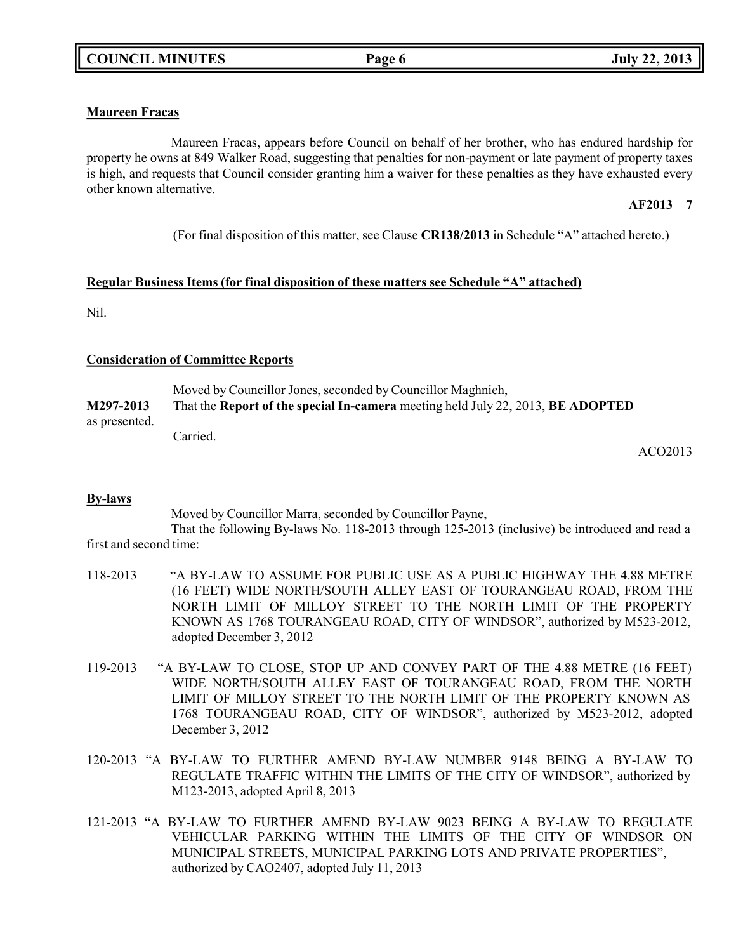### **Maureen Fracas**

Maureen Fracas, appears before Council on behalf of her brother, who has endured hardship for property he owns at 849 Walker Road, suggesting that penalties for non-payment or late payment of property taxes is high, and requests that Council consider granting him a waiver for these penalties as they have exhausted every other known alternative.

# **AF2013 7**

(For final disposition of this matter, see Clause **CR138/2013** in Schedule "A" attached hereto.)

#### **Regular Business Items (for final disposition of these matters see Schedule "A" attached)**

Nil.

#### **Consideration of Committee Reports**

Moved by Councillor Jones, seconded by Councillor Maghnieh, **M297-2013** That the **Report of the special In-camera** meeting held July 22, 2013, **BE ADOPTED** as presented. Carried.

ACO2013

#### **By-laws**

Moved by Councillor Marra, seconded by Councillor Payne,

That the following By-laws No. 118-2013 through 125-2013 (inclusive) be introduced and read a first and second time:

- 118-2013 "A BY-LAW TO ASSUME FOR PUBLIC USE AS A PUBLIC HIGHWAY THE 4.88 METRE (16 FEET) WIDE NORTH/SOUTH ALLEY EAST OF TOURANGEAU ROAD, FROM THE NORTH LIMIT OF MILLOY STREET TO THE NORTH LIMIT OF THE PROPERTY KNOWN AS 1768 TOURANGEAU ROAD, CITY OF WINDSOR", authorized by M523-2012, adopted December 3, 2012
- 119-2013 "A BY-LAW TO CLOSE, STOP UP AND CONVEY PART OF THE 4.88 METRE (16 FEET) WIDE NORTH/SOUTH ALLEY EAST OF TOURANGEAU ROAD, FROM THE NORTH LIMIT OF MILLOY STREET TO THE NORTH LIMIT OF THE PROPERTY KNOWN AS 1768 TOURANGEAU ROAD, CITY OF WINDSOR", authorized by M523-2012, adopted December 3, 2012
- 120-2013 "A BY-LAW TO FURTHER AMEND BY-LAW NUMBER 9148 BEING A BY-LAW TO REGULATE TRAFFIC WITHIN THE LIMITS OF THE CITY OF WINDSOR", authorized by M123-2013, adopted April 8, 2013
- 121-2013 "A BY-LAW TO FURTHER AMEND BY-LAW 9023 BEING A BY-LAW TO REGULATE VEHICULAR PARKING WITHIN THE LIMITS OF THE CITY OF WINDSOR ON MUNICIPAL STREETS, MUNICIPAL PARKING LOTS AND PRIVATE PROPERTIES", authorized by CAO2407, adopted July 11, 2013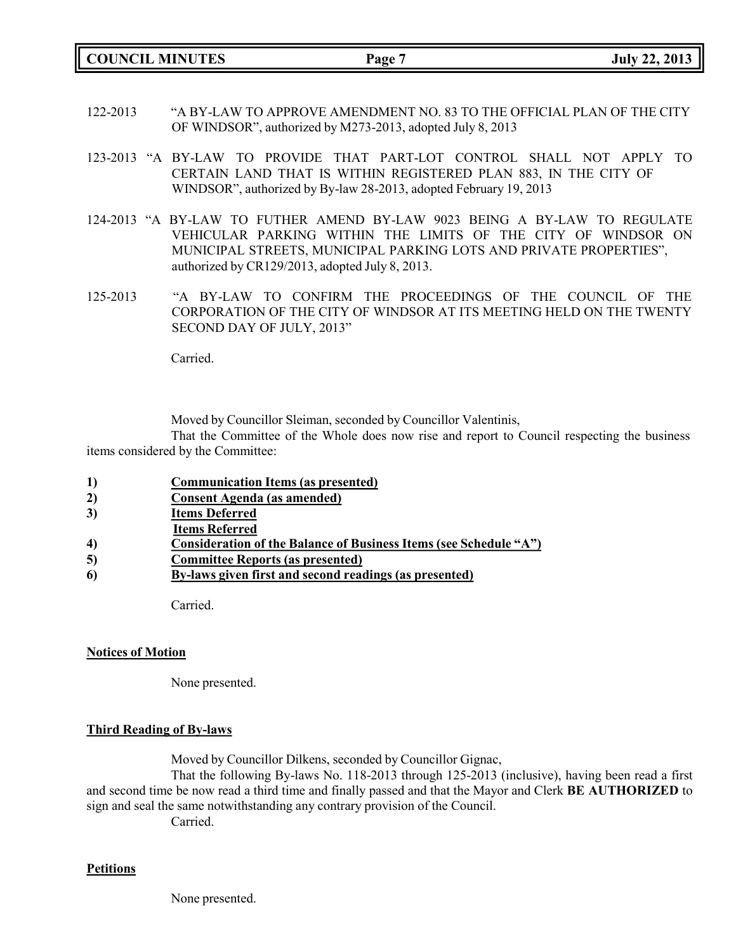**COUNCIL MINUTES Page 7 July 22, 2013**

- 122-2013 "A BY-LAW TO APPROVE AMENDMENT NO. 83 TO THE OFFICIAL PLAN OF THE CITY OF WINDSOR", authorized by M273-2013, adopted July 8, 2013
- 123-2013 "A BY-LAW TO PROVIDE THAT PART-LOT CONTROL SHALL NOT APPLY TO CERTAIN LAND THAT IS WITHIN REGISTERED PLAN 883, IN THE CITY OF WINDSOR", authorized by By-law 28-2013, adopted February 19, 2013
- 124-2013 "A BY-LAW TO FUTHER AMEND BY-LAW 9023 BEING A BY-LAW TO REGULATE VEHICULAR PARKING WITHIN THE LIMITS OF THE CITY OF WINDSOR ON MUNICIPAL STREETS, MUNICIPAL PARKING LOTS AND PRIVATE PROPERTIES", authorized by CR129/2013, adopted July 8, 2013.
- 125-2013 "A BY-LAW TO CONFIRM THE PROCEEDINGS OF THE COUNCIL OF THE CORPORATION OF THE CITY OF WINDSOR AT ITS MEETING HELD ON THE TWENTY SECOND DAY OF JULY, 2013"

Carried.

Moved by Councillor Sleiman, seconded by Councillor Valentinis,

That the Committee of the Whole does now rise and report to Council respecting the business items considered by the Committee:

- **1) Communication Items (as presented)**
- **2) Consent Agenda (as amended)**
- **3) Items Deferred**
- **Items Referred**
- **4) Consideration of the Balance of Business Items (see Schedule "A")**
- **5) Committee Reports (as presented)**
- **6) By-laws given first and second readings (as presented)**

Carried.

#### **Notices of Motion**

None presented.

#### **Third Reading of By-laws**

Moved by Councillor Dilkens, seconded by Councillor Gignac,

That the following By-laws No. 118-2013 through 125-2013 (inclusive), having been read a first and second time be now read a third time and finally passed and that the Mayor and Clerk **BE AUTHORIZED** to sign and seal the same notwithstanding any contrary provision of the Council.

Carried.

#### **Petitions**

None presented.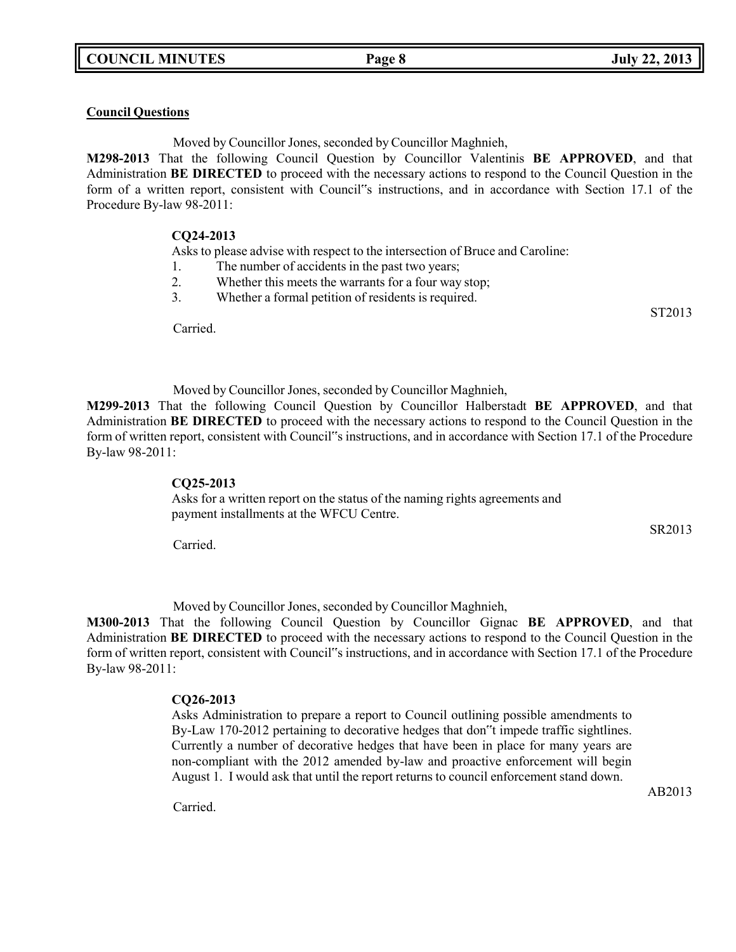#### **Council Questions**

Moved by Councillor Jones, seconded by Councillor Maghnieh,

**M298-2013** That the following Council Question by Councillor Valentinis **BE APPROVED**, and that Administration **BE DIRECTED** to proceed with the necessary actions to respond to the Council Question in the form of a written report, consistent with Council"s instructions, and in accordance with Section 17.1 of the Procedure By-law 98-2011:

#### **CQ24-2013**

Asks to please advise with respect to the intersection of Bruce and Caroline:

- 1. The number of accidents in the past two years;
- 2. Whether this meets the warrants for a four way stop;
- 3. Whether a formal petition of residents is required.

Carried.

Moved by Councillor Jones, seconded by Councillor Maghnieh,

**M299-2013** That the following Council Question by Councillor Halberstadt **BE APPROVED**, and that Administration **BE DIRECTED** to proceed with the necessary actions to respond to the Council Question in the form of written report, consistent with Council"s instructions, and in accordance with Section 17.1 of the Procedure By-law 98-2011:

#### **CQ25-2013**

Asks for a written report on the status of the naming rights agreements and payment installments at the WFCU Centre.

SR2013

ST2013

Carried.

Moved by Councillor Jones, seconded by Councillor Maghnieh,

**M300-2013** That the following Council Question by Councillor Gignac **BE APPROVED**, and that Administration **BE DIRECTED** to proceed with the necessary actions to respond to the Council Question in the form of written report, consistent with Council"s instructions, and in accordance with Section 17.1 of the Procedure By-law 98-2011:

#### **CQ26-2013**

Asks Administration to prepare a report to Council outlining possible amendments to By-Law 170-2012 pertaining to decorative hedges that don"t impede traffic sightlines. Currently a number of decorative hedges that have been in place for many years are non-compliant with the 2012 amended by-law and proactive enforcement will begin August 1. I would ask that until the report returns to council enforcement stand down.

Carried.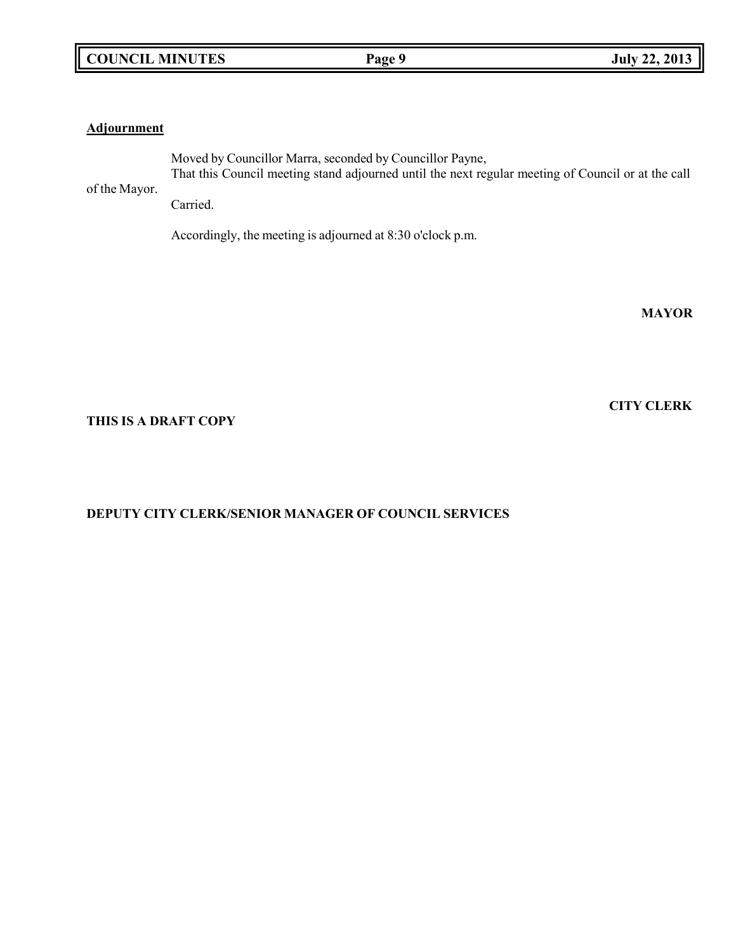#### **Adjournment**

Moved by Councillor Marra, seconded by Councillor Payne, That this Council meeting stand adjourned until the next regular meeting of Council or at the call

of the Mayor. Carried.

Accordingly, the meeting is adjourned at 8:30 o'clock p.m.

**MAYOR**

**CITY CLERK**

#### **THIS IS A DRAFT COPY**

### **DEPUTY CITY CLERK/SENIOR MANAGER OF COUNCIL SERVICES**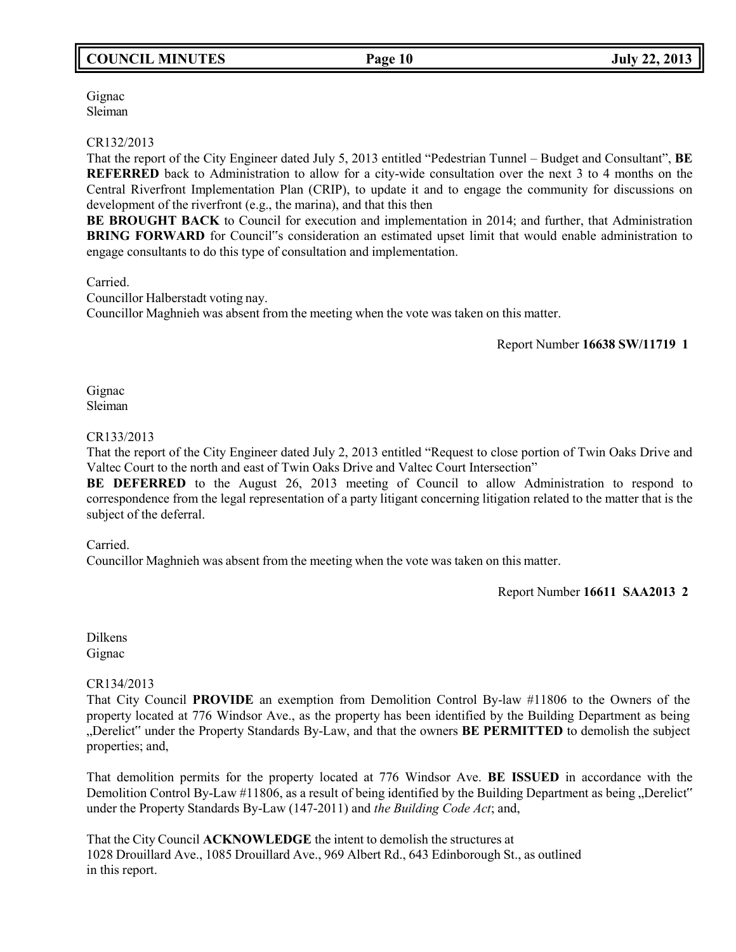# **COUNCIL MINUTES Page 10 July 22, 2013**

Gignac Sleiman

#### CR132/2013

That the report of the City Engineer dated July 5, 2013 entitled "Pedestrian Tunnel – Budget and Consultant", **BE REFERRED** back to Administration to allow for a city-wide consultation over the next 3 to 4 months on the Central Riverfront Implementation Plan (CRIP), to update it and to engage the community for discussions on development of the riverfront (e.g., the marina), and that this then

**BE BROUGHT BACK** to Council for execution and implementation in 2014; and further, that Administration **BRING FORWARD** for Council"s consideration an estimated upset limit that would enable administration to engage consultants to do this type of consultation and implementation.

Carried.

Councillor Halberstadt voting nay. Councillor Maghnieh was absent from the meeting when the vote was taken on this matter.

Report Number **16638 SW/11719 1**

Gignac Sleiman

#### CR133/2013

That the report of the City Engineer dated July 2, 2013 entitled "Request to close portion of Twin Oaks Drive and Valtec Court to the north and east of Twin Oaks Drive and Valtec Court Intersection"

**BE DEFERRED** to the August 26, 2013 meeting of Council to allow Administration to respond to correspondence from the legal representation of a party litigant concerning litigation related to the matter that is the subject of the deferral.

#### Carried.

Councillor Maghnieh was absent from the meeting when the vote was taken on this matter.

Report Number **16611 SAA2013 2**

Dilkens Gignac

#### CR134/2013

That City Council **PROVIDE** an exemption from Demolition Control By-law #11806 to the Owners of the property located at 776 Windsor Ave., as the property has been identified by the Building Department as being "Derelict" under the Property Standards By-Law, and that the owners **BE PERMITTED** to demolish the subject properties; and,

That demolition permits for the property located at 776 Windsor Ave. **BE ISSUED** in accordance with the Demolition Control By-Law #11806, as a result of being identified by the Building Department as being "Derelict" under the Property Standards By-Law (147-2011) and *the Building Code Act*; and,

That the City Council **ACKNOWLEDGE** the intent to demolish the structures at 1028 Drouillard Ave., 1085 Drouillard Ave., 969 Albert Rd., 643 Edinborough St., as outlined in this report.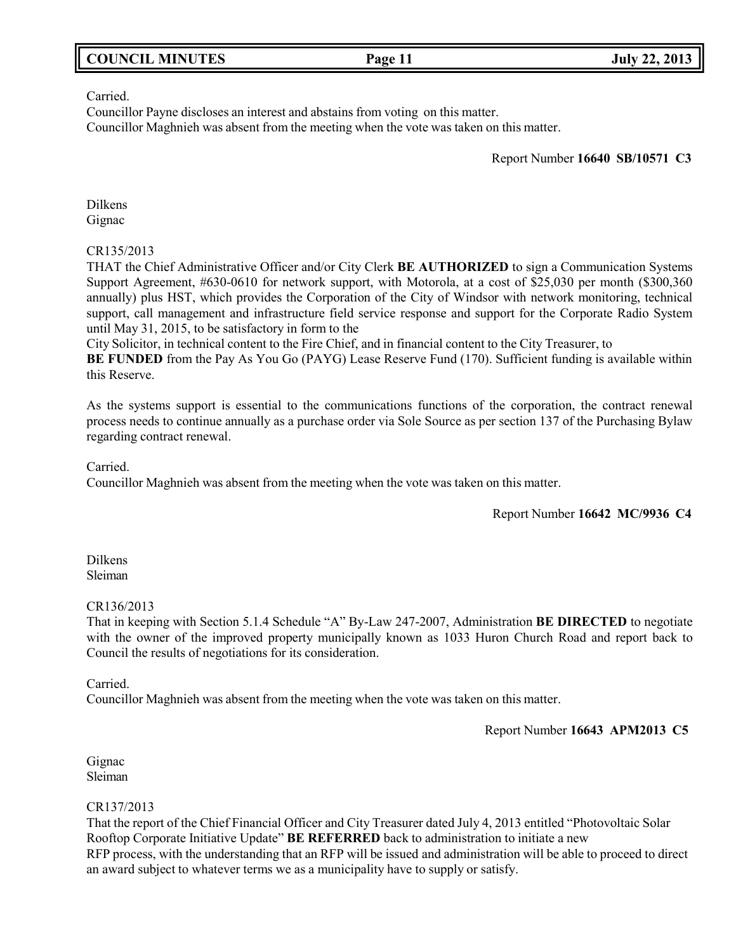|  | <b>COUNCIL MINUTES</b> |
|--|------------------------|
|--|------------------------|

#### Carried.

Councillor Payne discloses an interest and abstains from voting on this matter. Councillor Maghnieh was absent from the meeting when the vote was taken on this matter.

Report Number **16640 SB/10571 C3**

Dilkens Gignac

#### CR135/2013

THAT the Chief Administrative Officer and/or City Clerk **BE AUTHORIZED** to sign a Communication Systems Support Agreement, #630-0610 for network support, with Motorola, at a cost of \$25,030 per month (\$300,360 annually) plus HST, which provides the Corporation of the City of Windsor with network monitoring, technical support, call management and infrastructure field service response and support for the Corporate Radio System until May 31, 2015, to be satisfactory in form to the

City Solicitor, in technical content to the Fire Chief, and in financial content to the City Treasurer, to

**BE FUNDED** from the Pay As You Go (PAYG) Lease Reserve Fund (170). Sufficient funding is available within this Reserve.

As the systems support is essential to the communications functions of the corporation, the contract renewal process needs to continue annually as a purchase order via Sole Source as per section 137 of the Purchasing Bylaw regarding contract renewal.

Carried.

Councillor Maghnieh was absent from the meeting when the vote was taken on this matter.

Report Number **16642 MC/9936 C4**

Dilkens Sleiman

#### CR136/2013

That in keeping with Section 5.1.4 Schedule "A" By-Law 247-2007, Administration **BE DIRECTED** to negotiate with the owner of the improved property municipally known as 1033 Huron Church Road and report back to Council the results of negotiations for its consideration.

Carried.

Councillor Maghnieh was absent from the meeting when the vote was taken on this matter.

Report Number **16643 APM2013 C5**

Gignac Sleiman

#### CR137/2013

That the report of the Chief Financial Officer and City Treasurer dated July 4, 2013 entitled "Photovoltaic Solar Rooftop Corporate Initiative Update" **BE REFERRED** back to administration to initiate a new RFP process, with the understanding that an RFP will be issued and administration will be able to proceed to direct an award subject to whatever terms we as a municipality have to supply or satisfy.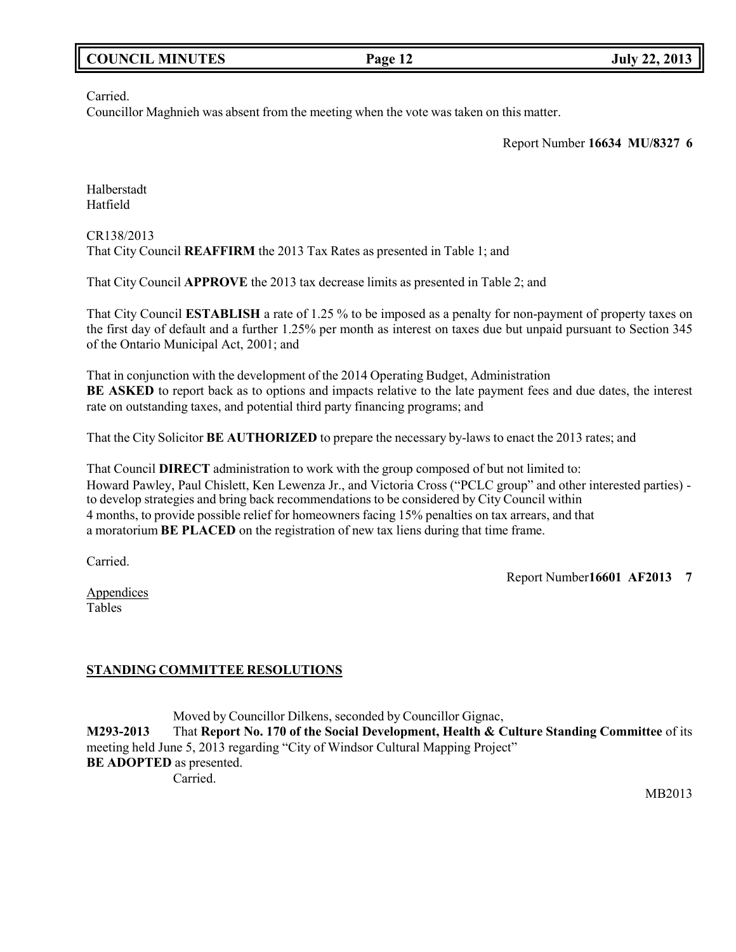| <b>COUNCIL MINUTES</b> | Page 12 | <b>July 22, 2013</b> |
|------------------------|---------|----------------------|
|                        |         |                      |

Carried.

Councillor Maghnieh was absent from the meeting when the vote was taken on this matter.

Report Number **16634 MU/8327 6**

Halberstadt Hatfield

CR138/2013 That City Council **REAFFIRM** the 2013 Tax Rates as presented in Table 1; and

That City Council **APPROVE** the 2013 tax decrease limits as presented in Table 2; and

That City Council **ESTABLISH** a rate of 1.25 % to be imposed as a penalty for non-payment of property taxes on the first day of default and a further 1.25% per month as interest on taxes due but unpaid pursuant to Section 345 of the Ontario Municipal Act, 2001; and

That in conjunction with the development of the 2014 Operating Budget, Administration **BE ASKED** to report back as to options and impacts relative to the late payment fees and due dates, the interest rate on outstanding taxes, and potential third party financing programs; and

That the City Solicitor **BE AUTHORIZED** to prepare the necessary by-laws to enact the 2013 rates; and

That Council **DIRECT** administration to work with the group composed of but not limited to: Howard Pawley, Paul Chislett, Ken Lewenza Jr., and Victoria Cross ("PCLC group" and other interested parties) to develop strategies and bring back recommendations to be considered by City Council within 4 months, to provide possible relief for homeowners facing 15% penalties on tax arrears, and that a moratorium **BE PLACED** on the registration of new tax liens during that time frame.

Carried.

Report Number**16601 AF2013 7**

Appendices Tables

### **STANDING COMMITTEE RESOLUTIONS**

Moved by Councillor Dilkens, seconded by Councillor Gignac, **M293-2013** That **Report No. 170 of the Social Development, Health & Culture Standing Committee** of its meeting held June 5, 2013 regarding "City of Windsor Cultural Mapping Project" **BE ADOPTED** as presented. Carried.

MB2013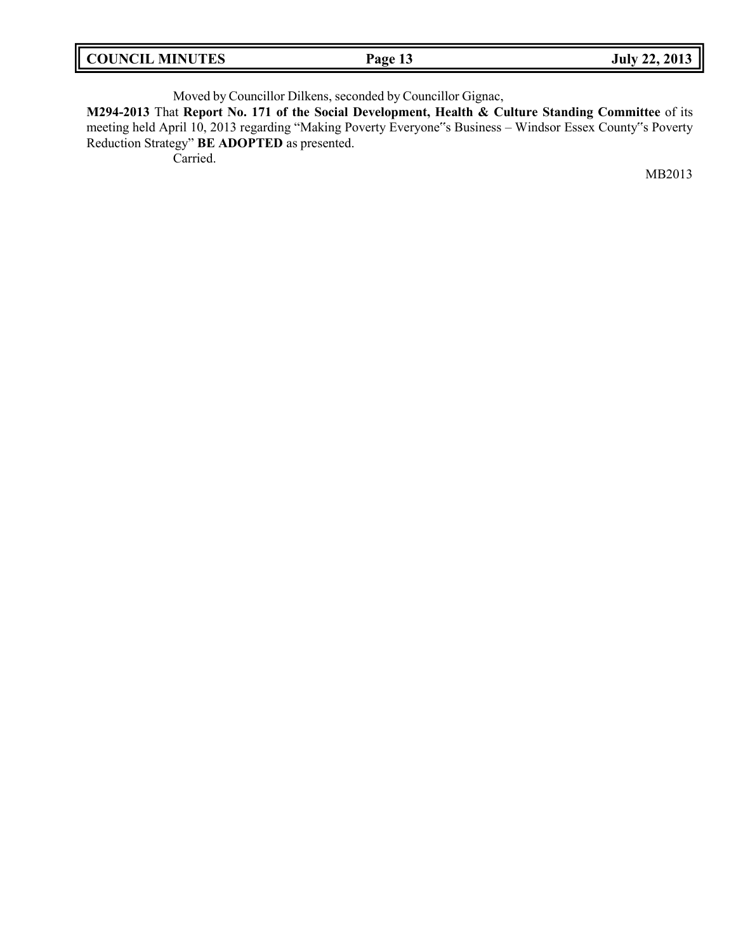| <b>COUNCIL MINUTES</b><br>Page 13 | <b>July 22, 2013</b> |
|-----------------------------------|----------------------|
|-----------------------------------|----------------------|

Moved by Councillor Dilkens, seconded by Councillor Gignac,

**M294-2013** That **Report No. 171 of the Social Development, Health & Culture Standing Committee** of its meeting held April 10, 2013 regarding "Making Poverty Everyone"s Business – Windsor Essex County"s Poverty Reduction Strategy" **BE ADOPTED** as presented.

Carried.

MB2013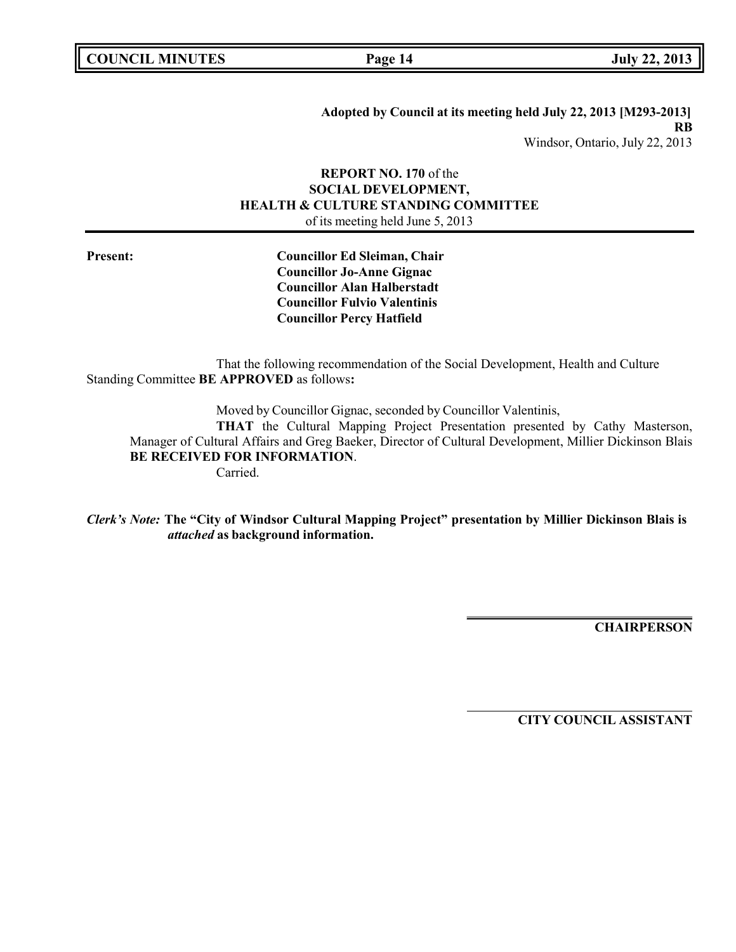**COUNCIL MINUTES Page 14 July 22, 2013**

**Adopted by Council at its meeting held July 22, 2013 [M293-2013] RB** Windsor, Ontario, July 22, 2013

#### **REPORT NO. 170** of the **SOCIAL DEVELOPMENT, HEALTH & CULTURE STANDING COMMITTEE** of its meeting held June 5, 2013

**Present: Councillor Ed Sleiman, Chair Councillor Jo-Anne Gignac Councillor Alan Halberstadt Councillor Fulvio Valentinis Councillor Percy Hatfield**

That the following recommendation of the Social Development, Health and Culture Standing Committee **BE APPROVED** as follows**:**

Moved by Councillor Gignac, seconded by Councillor Valentinis,

**THAT** the Cultural Mapping Project Presentation presented by Cathy Masterson, Manager of Cultural Affairs and Greg Baeker, Director of Cultural Development, Millier Dickinson Blais **BE RECEIVED FOR INFORMATION**.

Carried.

*Clerk's Note:* **The "City of Windsor Cultural Mapping Project" presentation by Millier Dickinson Blais is** *attached* **as background information.**

**CHAIRPERSON**

**CITY COUNCIL ASSISTANT**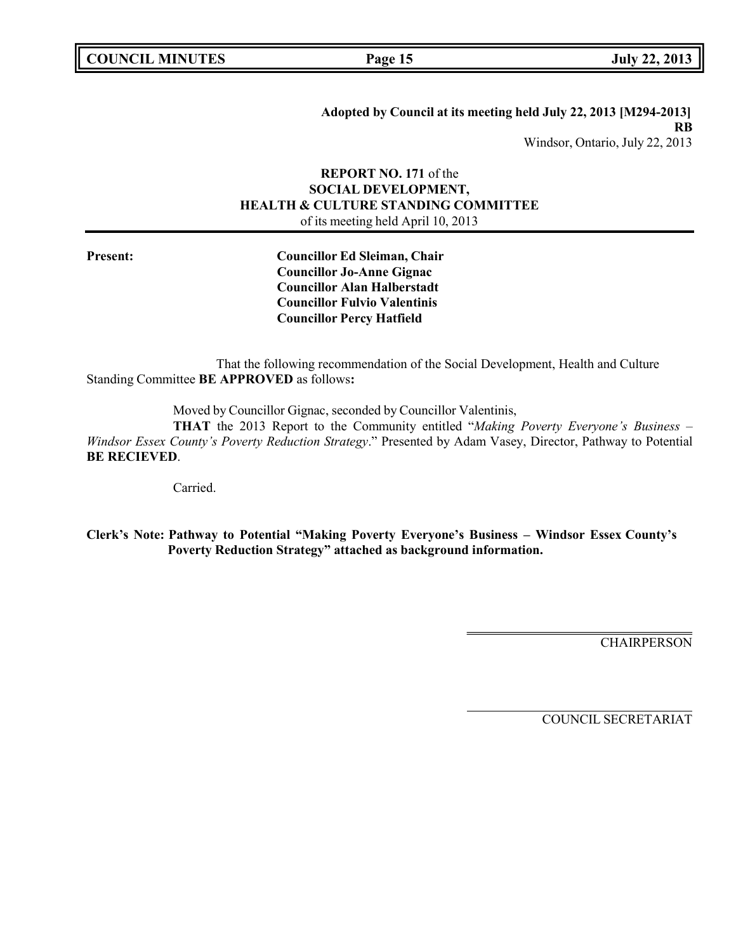**COUNCIL MINUTES Page 15 July 22, 2013**

**Adopted by Council at its meeting held July 22, 2013 [M294-2013] RB** Windsor, Ontario, July 22, 2013

#### **REPORT NO. 171** of the **SOCIAL DEVELOPMENT, HEALTH & CULTURE STANDING COMMITTEE** of its meeting held April 10, 2013

**Present: Councillor Ed Sleiman, Chair Councillor Jo-Anne Gignac Councillor Alan Halberstadt Councillor Fulvio Valentinis Councillor Percy Hatfield**

That the following recommendation of the Social Development, Health and Culture Standing Committee **BE APPROVED** as follows**:**

Moved by Councillor Gignac, seconded by Councillor Valentinis,

**THAT** the 2013 Report to the Community entitled "*Making Poverty Everyone's Business – Windsor Essex County's Poverty Reduction Strategy*." Presented by Adam Vasey, Director, Pathway to Potential **BE RECIEVED**.

Carried.

**Clerk's Note: Pathway to Potential "Making Poverty Everyone's Business – Windsor Essex County's Poverty Reduction Strategy" attached as background information.**

**CHAIRPERSON** 

COUNCIL SECRETARIAT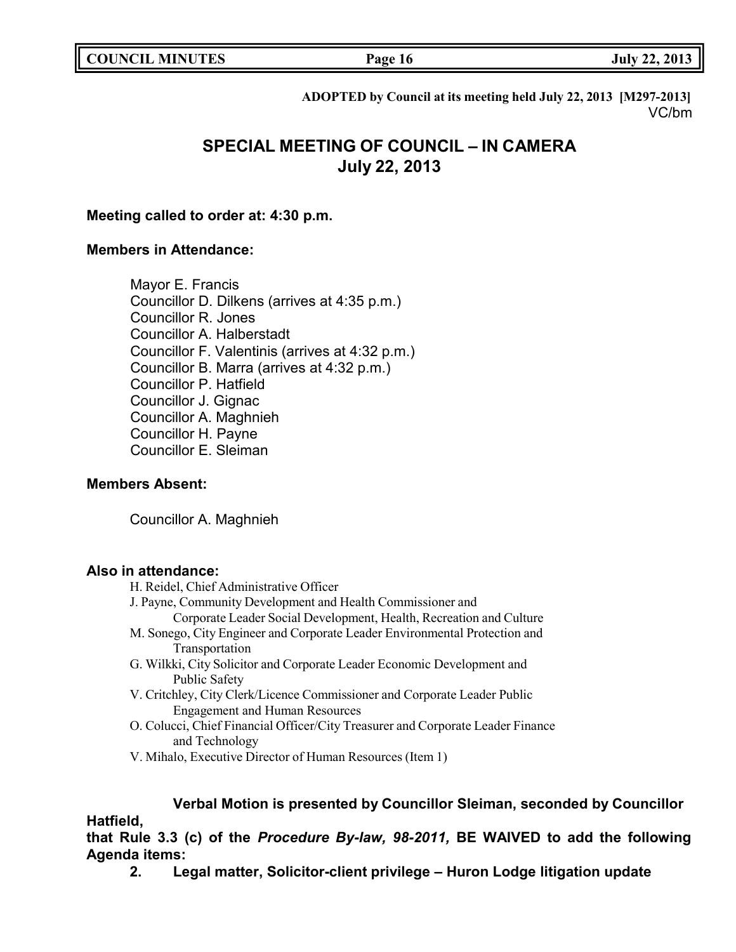**COUNCIL EXECUTE:** Fig. 2013

**ADOPTED by Council at its meeting held July 22, 2013 [M297-2013]** VC/bm

# **SPECIAL MEETING OF COUNCIL – IN CAMERA July 22, 2013**

### **Meeting called to order at: 4:30 p.m.**

### **Members in Attendance:**

Mayor E. Francis Councillor D. Dilkens (arrives at 4:35 p.m.) Councillor R. Jones Councillor A. Halberstadt Councillor F. Valentinis (arrives at 4:32 p.m.) Councillor B. Marra (arrives at 4:32 p.m.) Councillor P. Hatfield Councillor J. Gignac Councillor A. Maghnieh Councillor H. Payne Councillor E. Sleiman

### **Members Absent:**

Councillor A. Maghnieh

# **Also in attendance:**

- H. Reidel, Chief Administrative Officer
- J. Payne, Community Development and Health Commissioner and
	- Corporate Leader Social Development, Health, Recreation and Culture
- M. Sonego, City Engineer and Corporate Leader Environmental Protection and Transportation
- G. Wilkki, City Solicitor and Corporate Leader Economic Development and Public Safety
- V. Critchley, City Clerk/Licence Commissioner and Corporate Leader Public Engagement and Human Resources
- O. Colucci, Chief Financial Officer/City Treasurer and Corporate Leader Finance and Technology
- V. Mihalo, Executive Director of Human Resources (Item 1)

# **Verbal Motion is presented by Councillor Sleiman, seconded by Councillor**

# **Hatfield,**

# **that Rule 3.3 (c) of the** *Procedure By-law, 98-2011,* **BE WAIVED to add the following Agenda items:**

**2. Legal matter, Solicitor-client privilege – Huron Lodge litigation update**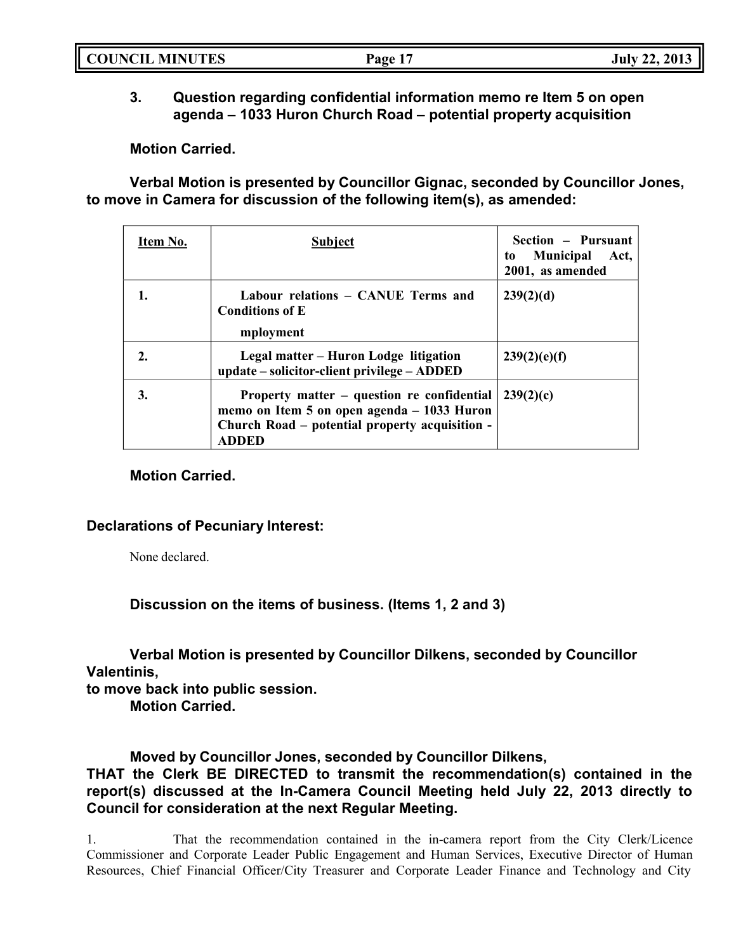|--|

# **3. Question regarding confidential information memo re Item 5 on open agenda – 1033 Huron Church Road – potential property acquisition**

**Motion Carried.**

**Verbal Motion is presented by Councillor Gignac, seconded by Councillor Jones, to move in Camera for discussion of the following item(s), as amended:**

| Item No. | <b>Subject</b>                                                                                                                                             | Section – Pursuant<br><b>Municipal</b><br>Act,<br>to<br>2001, as amended |
|----------|------------------------------------------------------------------------------------------------------------------------------------------------------------|--------------------------------------------------------------------------|
| ı.       | Labour relations - CANUE Terms and<br><b>Conditions of E</b><br>mployment                                                                                  | 239(2)(d)                                                                |
| 2.       | Legal matter – Huron Lodge litigation<br>update – solicitor-client privilege – ADDED                                                                       | 239(2)(e)(f)                                                             |
| 3.       | Property matter – question re confidential<br>memo on Item 5 on open agenda – 1033 Huron<br>Church Road – potential property acquisition -<br><b>ADDED</b> | 239(2)(c)                                                                |

# **Motion Carried.**

### **Declarations of Pecuniary Interest:**

None declared.

**Discussion on the items of business. (Items 1, 2 and 3)**

**Verbal Motion is presented by Councillor Dilkens, seconded by Councillor Valentinis,**

**to move back into public session.**

**Motion Carried.**

**Moved by Councillor Jones, seconded by Councillor Dilkens,**

**THAT the Clerk BE DIRECTED to transmit the recommendation(s) contained in the report(s) discussed at the In-Camera Council Meeting held July 22, 2013 directly to Council for consideration at the next Regular Meeting.**

1. That the recommendation contained in the in-camera report from the City Clerk/Licence Commissioner and Corporate Leader Public Engagement and Human Services, Executive Director of Human Resources, Chief Financial Officer/City Treasurer and Corporate Leader Finance and Technology and City